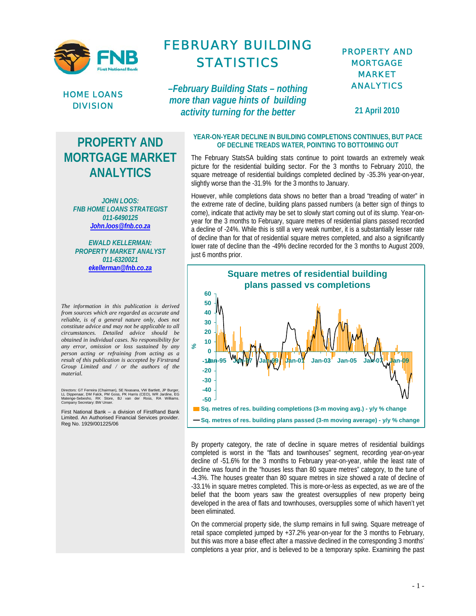

HOME LOANS DIVISION

## FEBRUARY BUILDING STATISTICS

*–February Building Stats – nothing more than vague hints of building activity turning for the better*

## PROPERTY AND **MORTGAGE** MARKET ANALYTICS

**21 April 2010** 

## **PROPERTY AND MORTGAGE MARKET ANALYTICS**

*JOHN LOOS: FNB HOME LOANS STRATEGIST 011-6490125 John.loos@fnb.co.za*

*EWALD KELLERMAN: PROPERTY MARKET ANALYST 011-6320021 ekellerman@fnb.co.za*

*The information in this publication is derived from sources which are regarded as accurate and reliable, is of a general nature only, does not constitute advice and may not be applicable to all circumstances. Detailed advice should be obtained in individual cases. No responsibility for any error, omission or loss sustained by any person acting or refraining from acting as a result of this publication is accepted by Firstrand Group Limited and / or the authors of the material.*

Directors: GT Ferreira (Chairman), SE Nxasana, VW Bartlett, JP Burger,<br>LL Dippenaar, DM Falck, PM Goss, PK Harris (CEO), WR Jardine, EG<br>Matenge-Sebesho, RK Store, BJ van der Ross, RA Williams.<br>Company Secretary: BW Unser.

First National Bank – a division of FirstRand Bank Limited. An Authorised Financial Services provider. Reg No. 1929/001225/06

**YEAR-ON-YEAR DECLINE IN BUILDING COMPLETIONS CONTINUES, BUT PACE OF DECLINE TREADS WATER, POINTING TO BOTTOMING OUT** 

The February StatsSA building stats continue to point towards an extremely weak picture for the residential building sector. For the 3 months to February 2010, the square metreage of residential buildings completed declined by -35.3% year-on-year, slightly worse than the -31.9% for the 3 months to January.

However, while completions data shows no better than a broad "treading of water" in the extreme rate of decline, building plans passed numbers (a better sign of things to come), indicate that activity may be set to slowly start coming out of its slump. Year-onyear for the 3 months to February, square metres of residential plans passed recorded a decline of -24%. While this is still a very weak number, it is a substantially lesser rate of decline than for that of residential square metres completed, and also a significantly lower rate of decline than the -49% decline recorded for the 3 months to August 2009, just 6 months prior.



By property category, the rate of decline in square metres of residential buildings completed is worst in the "flats and townhouses" segment, recording year-on-year decline of -51.6% for the 3 months to February year-on-year, while the least rate of decline was found in the "houses less than 80 square metres" category, to the tune of -4.3%. The houses greater than 80 square metres in size showed a rate of decline of -33.1% in square metres completed. This is more-or-less as expected, as we are of the belief that the boom years saw the greatest oversupplies of new property being developed in the area of flats and townhouses, oversupplies some of which haven't yet been eliminated.

On the commercial property side, the slump remains in full swing. Square metreage of retail space completed jumped by +37.2% year-on-year for the 3 months to February, but this was more a base effect after a massive declined in the corresponding 3 months' completions a year prior, and is believed to be a temporary spike. Examining the past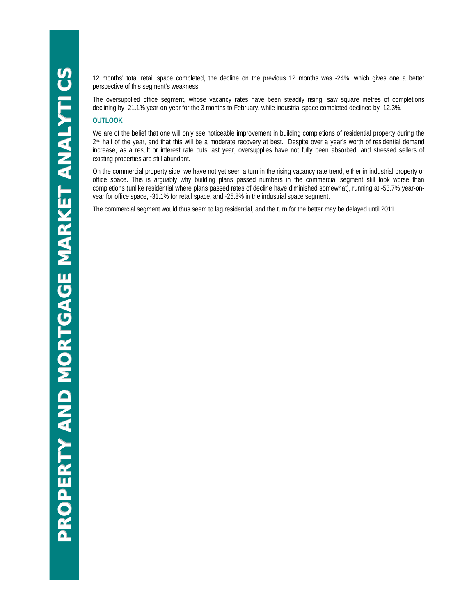12 months' total retail space completed, the decline on the previous 12 months was -24%, which gives one a better perspective of this segment's weakness.

The oversupplied office segment, whose vacancy rates have been steadily rising, saw square metres of completions declining by -21.1% year-on-year for the 3 months to February, while industrial space completed declined by -12.3%.

## **OUTLOOK**

We are of the belief that one will only see noticeable improvement in building completions of residential property during the 2<sup>nd</sup> half of the year, and that this will be a moderate recovery at best. Despite over a year's worth of residential demand increase, as a result or interest rate cuts last year, oversupplies have not fully been absorbed, and stressed sellers of existing properties are still abundant.

On the commercial property side, we have not yet seen a turn in the rising vacancy rate trend, either in industrial property or office space. This is arguably why building plans passed numbers in the commercial segment still look worse than completions (unlike residential where plans passed rates of decline have diminished somewhat), running at -53.7% year-onyear for office space, -31.1% for retail space, and -25.8% in the industrial space segment.

The commercial segment would thus seem to lag residential, and the turn for the better may be delayed until 2011.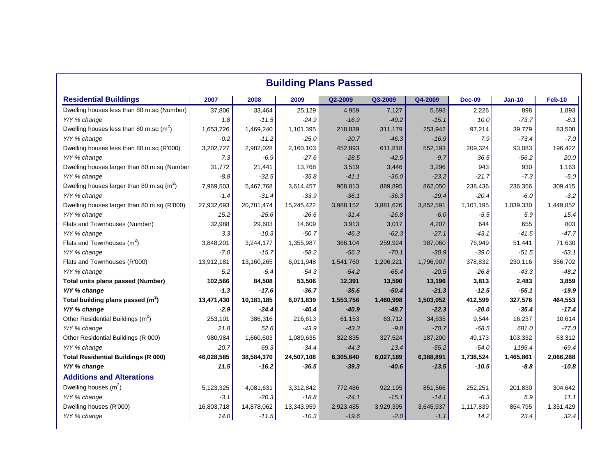|                                               |            | <b>Building Plans Passed</b> |            |           |           |           |               |           |           |  |  |
|-----------------------------------------------|------------|------------------------------|------------|-----------|-----------|-----------|---------------|-----------|-----------|--|--|
| <b>Residential Buildings</b>                  | 2007       | 2008                         | 2009       | Q2-2009   | Q3-2009   | Q4-2009   | <b>Dec-09</b> | $Jan-10$  | Feb-10    |  |  |
| Dwelling houses less than 80 m.sq (Number)    | 37,806     | 33,464                       | 25,129     | 4,959     | 7,127     | 5,693     | 2,226         | 898       |           |  |  |
| Y/Y % change                                  | 1.8        | $-11.5$                      | $-24.9$    | $-16.9$   | $-49.2$   | $-15.1$   | 10.0          | $-73.7$   |           |  |  |
| Dwelling houses less than 80 m.sq $(m^2)$     | 1.653.726  | 1,469,240                    | 1,101,395  | 218,839   | 311,179   | 253,942   | 97,214        | 39,779    | 83,508    |  |  |
| Y/Y % change                                  | $-0.2$     | $-11.2$                      | $-25.0$    | $-20.7$   | $-46.3$   | $-16.9$   | 7.9           | $-73.4$   |           |  |  |
| Dwelling houses less than 80 m.sq (R'000)     | 3,202,727  | 2,982,028                    | 2,160,103  | 452,893   | 611,818   | 552,193   | 209,324       | 93,083    | 196,422   |  |  |
| Y/Y % change                                  | 7.3        | $-6.9$                       | $-27.6$    | $-28.5$   | $-42.5$   | $-9.7$    | 36.5          | $-56.2$   |           |  |  |
| Dwelling houses larger than 80 m.sq (Number   | 31.772     | 21,441                       | 13,768     | 3,519     | 3,446     | 3,296     | 943           | 930       |           |  |  |
| Y/Y % change                                  | $-8.8$     | $-32.5$                      | $-35.8$    | $-41.1$   | $-36.0$   | $-23.2$   | $-21.7$       | $-7.3$    |           |  |  |
| Dwelling houses larger than 80 m.sq $(m^2)$   | 7,969,503  | 5,467,768                    | 3,614,457  | 968,813   | 889,895   | 862,050   | 238,436       | 236,356   | 309,415   |  |  |
| Y/Y % change                                  | $-1.4$     | $-31.4$                      | $-33.9$    | $-36.1$   | $-36.3$   | $-19.4$   | $-20.4$       | $-6.0$    |           |  |  |
| Dwelling houses larger than 80 m.sq (R'000)   | 27,932,693 | 20,781,474                   | 15,245,422 | 3,988,152 | 3,881,626 | 3,852,591 | 1,101,195     | 1,039,330 | 1,449,852 |  |  |
| Y/Y % change                                  | 15.2       | $-25.6$                      | $-26.6$    | $-31.4$   | $-26.8$   | $-6.0$    | $-5.5$        | 5.9       |           |  |  |
| Flats and Townhouses (Number)                 | 32,988     | 29,603                       | 14,609     | 3,913     | 3,017     | 4,207     | 644           | 655       |           |  |  |
| Y/Y % change                                  | 3.3        | $-10.3$                      | $-50.7$    | $-46.3$   | $-62.3$   | $-27.1$   | $-43.1$       | $-41.5$   |           |  |  |
| Flats and Townhouses $(m^2)$                  | 3,848,201  | 3,244,177                    | 1,355,987  | 366,104   | 259,924   | 387,060   | 76,949        | 51,441    | 71,630    |  |  |
| Y/Y % change                                  | $-7.0$     | $-15.7$                      | $-58.2$    | $-56.3$   | $-70.1$   | $-30.9$   | $-39.0$       | $-51.5$   |           |  |  |
| Flats and Townhouses (R'000)                  | 13,912,181 | 13,160,265                   | 6,011,948  | 1,541,760 | 1,206,221 | 1,796,907 | 378,832       | 230,116   | 356,702   |  |  |
| Y/Y % change                                  | 5.2        | $-5.4$                       | $-54.3$    | $-54.2$   | $-65.4$   | $-20.5$   | $-26.8$       | $-43.3$   |           |  |  |
| Total units plans passed (Number)             | 102,566    | 84,508                       | 53,506     | 12,391    | 13,590    | 13,196    | 3,813         | 2,483     |           |  |  |
| Y/Y % change                                  | -1.3       | $-17.6$                      | $-36.7$    | $-35.6$   | $-50.4$   | $-21.3$   | $-12.5$       | $-55.1$   |           |  |  |
| Total building plans passed $(m2)$            | 13,471,430 | 10,181,185                   | 6,071,839  | 1,553,756 | 1,460,998 | 1,503,052 | 412,599       | 327,576   | 464,553   |  |  |
| Y/Y % change                                  | $-2.9$     | $-24.4$                      | $-40.4$    | $-40.9$   | $-48.7$   | $-22.3$   | $-20.0$       | $-35.4$   |           |  |  |
| Other Residential Buildings (m <sup>2</sup> ) | 253.101    | 386,316                      | 216,613    | 61,153    | 63,712    | 34,635    | 9,544         | 16,237    | 10,614    |  |  |
| Y/Y % change                                  | 21.8       | 52.6                         | $-43.9$    | $-43.3$   | $-9.8$    | $-70.7$   | $-68.5$       | 681.0     |           |  |  |
| Other Residential Buildings (R 000)           | 980,984    | 1,660,603                    | 1,089,635  | 322,835   | 327,524   | 187,200   | 49,173        | 103,332   | 63,312    |  |  |
| Y/Y % change                                  | 20.7       | 69.3                         | $-34.4$    | $-44.3$   | 13.4      | $-55.2$   | $-54.0$       | 1195.4    |           |  |  |
| <b>Total Residential Buildings (R 000)</b>    | 46,028,585 | 38,584,370                   | 24,507,108 | 6,305,640 | 6,027,189 | 6,388,891 | 1,738,524     | 1,465,861 | 2,066,288 |  |  |
| Y/Y % change                                  | 11.5       | $-16.2$                      | $-36.5$    | $-39.3$   | $-40.6$   | $-13.5$   | -10.5         | $-8.8$    |           |  |  |
| <b>Additions and Alterations</b>              |            |                              |            |           |           |           |               |           |           |  |  |
| Dwelling houses $(m^2)$                       | 5,123,325  | 4,081,631                    | 3,312,842  | 772,486   | 922,195   | 851,566   | 252,251       | 201,830   | 304,642   |  |  |
| Y/Y % change                                  | $-3.1$     | $-20.3$                      | $-18.8$    | $-24.1$   | $-15.1$   | $-14.1$   | $-6.3$        | 5.9       |           |  |  |
| Dwelling houses (R'000)                       | 16,803,718 | 14,878,062                   | 13,343,959 | 2,923,485 | 3,929,395 | 3,645,937 | 1,117,839     | 854,795   | 1,351,429 |  |  |
| Y/Y % change                                  | 14.0       | $-11.5$                      | $-10.3$    | $-19.6$   | $-2.0$    | $-1.1$    | 14.2          | 23.4      |           |  |  |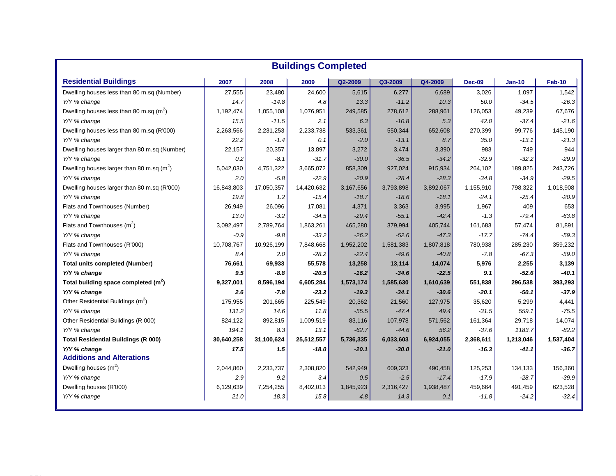|                                                  |            |            | <b>Buildings Completed</b> |           |           |           |               |               |           |
|--------------------------------------------------|------------|------------|----------------------------|-----------|-----------|-----------|---------------|---------------|-----------|
| <b>Residential Buildings</b>                     | 2007       | 2008       | 2009                       | Q2-2009   | Q3-2009   | Q4-2009   | <b>Dec-09</b> | <b>Jan-10</b> | Feb-10    |
| Dwelling houses less than 80 m.sq (Number)       | 27,555     | 23,480     | 24,600                     | 5,615     | 6,277     | 6,689     | 3,026         | 1,097         |           |
| Y/Y % change                                     | 14.7       | $-14.8$    | 4.8                        | 13.3      | $-11.2$   | 10.3      | 50.0          | $-34.5$       |           |
| Dwelling houses less than 80 m.sq $(m^2)$        | 1,192,474  | 1,055,108  | 1,076,951                  | 249,585   | 278,612   | 288,961   | 126,053       | 49,239        |           |
| Y/Y % change                                     | 15.5       | $-11.5$    | 2.1                        | 6.3       | $-10.8$   | 5.3       | 42.0          | $-37.4$       |           |
| Dwelling houses less than 80 m.sq (R'000)        | 2,263,566  | 2,231,253  | 2,233,738                  | 533,361   | 550,344   | 652,608   | 270,399       | 99,776        |           |
| Y/Y % change                                     | 22.2       | $-1.4$     | 0.1                        | $-2.0$    | $-13.1$   | 8.7       | 35.0          | $-13.1$       |           |
| Dwelling houses larger than 80 m.sq (Number)     | 22,157     | 20,357     | 13,897                     | 3,272     | 3,474     | 3,390     | 983           | 749           |           |
| Y/Y % change                                     | 0.2        | $-8.1$     | $-31.7$                    | $-30.0$   | $-36.5$   | $-34.2$   | $-32.9$       | $-32.2$       |           |
| Dwelling houses larger than 80 m.sq $(m^2)$      | 5,042,030  | 4,751,322  | 3,665,072                  | 858,309   | 927,024   | 915,934   | 264,102       | 189,825       |           |
| Y/Y % change                                     | 2.0        | $-5.8$     | $-22.9$                    | $-20.9$   | $-28.4$   | $-28.3$   | -34.8         | $-34.9$       |           |
| Dwelling houses larger than 80 m.sq (R'000)      | 16,843,803 | 17,050,357 | 14,420,632                 | 3,167,656 | 3,793,898 | 3,892,067 | 1,155,910     | 798,322       | 1,018,908 |
| Y/Y % change                                     | 19.8       | 1.2        | $-15.4$                    | $-18.7$   | $-18.6$   | $-18.1$   | $-24.1$       | $-25.4$       |           |
| Flats and Townhouses (Number)                    | 26,949     | 26,096     | 17,081                     | 4,371     | 3,363     | 3,995     | 1,967         | 409           |           |
| Y/Y % change                                     | 13.0       | $-3.2$     | $-34.5$                    | $-29.4$   | $-55.1$   | -42.4     | $-1.3$        | $-79.4$       |           |
| Flats and Townhouses $(m^2)$                     | 3,092,497  | 2,789,764  | 1,863,261                  | 465,280   | 379,994   | 405,744   | 161,683       | 57,474        |           |
| Y/Y % change                                     | $-0.9$     | $-9.8$     | $-33.2$                    | $-26.2$   | $-52.6$   | $-47.3$   | $-17.7$       | $-74.4$       |           |
| Flats and Townhouses (R'000)                     | 10,708,767 | 10,926,199 | 7,848,668                  | 1,952,202 | 1,581,383 | 1,807,818 | 780,938       | 285,230       |           |
| Y/Y % change                                     | 8.4        | 2.0        | $-28.2$                    | $-22.4$   | $-49.6$   | $-40.8$   | $-7.8$        | $-67.3$       |           |
| <b>Total units completed (Number)</b>            | 76,661     | 69,933     | 55,578                     | 13,258    | 13,114    | 14,074    | 5,976         | 2,255         |           |
| Y/Y % change                                     | 9.5        | $-8.8$     | $-20.5$                    | $-16.2$   | $-34.6$   | $-22.5$   | 9.1           | $-52.6$       |           |
| Total building space completed (m <sup>2</sup> ) | 9,327,001  | 8,596,194  | 6,605,284                  | 1,573,174 | 1,585,630 | 1,610,639 | 551,838       | 296,538       |           |
| Y/Y % change                                     | 2.6        | $-7.8$     | $-23.2$                    | $-19.3$   | $-34.1$   | $-30.6$   | -20.1         | $-50.1$       |           |
| Other Residential Buildings (m <sup>2</sup> )    | 175,955    | 201,665    | 225,549                    | 20,362    | 21,560    | 127,975   | 35,620        | 5,299         |           |
| Y/Y % change                                     | 131.2      | 14.6       | 11.8                       | $-55.5$   | $-47.4$   | 49.4      | $-31.5$       | 559.1         |           |
| Other Residential Buildings (R 000)              | 824,122    | 892,815    | 1,009,519                  | 83,116    | 107,978   | 571,562   | 161,364       | 29,718        |           |
| Y/Y % change                                     | 194.1      | 8.3        | 13.1                       | $-62.7$   | $-44.6$   | 56.2      | $-37.6$       | 1183.7        |           |
| <b>Total Residential Buildings (R 000)</b>       | 30,640,258 | 31,100,624 | 25,512,557                 | 5,736,335 | 6,033,603 | 6,924,055 | 2,368,611     | 1,213,046     | 1,537,404 |
| Y/Y % change                                     | 17.5       | 1.5        | -18.0                      | -20.1     | $-30.0$   | $-21.0$   | $-16.3$       | $-41.1$       |           |
| <b>Additions and Alterations</b>                 |            |            |                            |           |           |           |               |               |           |
| Dwelling houses $(m^2)$                          | 2,044,860  | 2,233,737  | 2,308,820                  | 542,949   | 609,323   | 490,458   | 125,253       | 134,133       |           |
| Y/Y % change                                     | 2.9        | 9.2        | 3.4                        | 0.5       | $-2.5$    | $-17.4$   | $-17.9$       | $-28.7$       |           |
| Dwelling houses (R'000)                          | 6,129,639  | 7,254,255  | 8,402,013                  | 1,845,923 | 2,316,427 | 1,938,487 | 459,664       | 491,459       |           |
| Y/Y % change                                     | 21.0       | 18.3       | 15.8                       | 4.8       | 14.3      | 0.1       | $-11.8$       | $-24.2$       |           |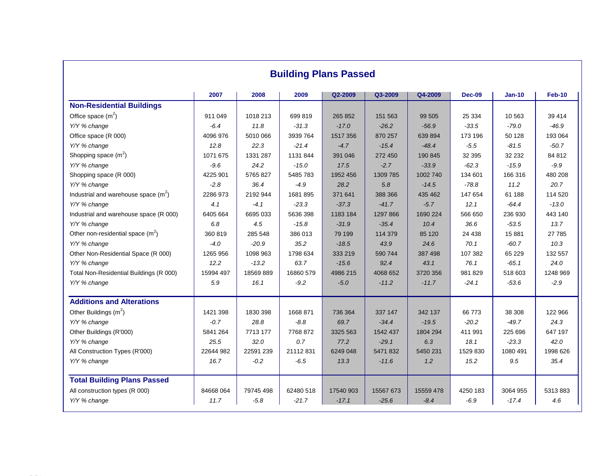|                                         | 2007      | 2008      | 2009      | Q2-2009   | Q3-2009   | Q4-2009   | <b>Dec-09</b> | $Jan-10$ | Feb-10   |
|-----------------------------------------|-----------|-----------|-----------|-----------|-----------|-----------|---------------|----------|----------|
| <b>Non-Residential Buildings</b>        |           |           |           |           |           |           |               |          |          |
| Office space $(m2)$                     | 911 049   | 1018 213  | 699 819   | 265 852   | 151 563   | 99 505    | 25 334        | 10 563   | 39 414   |
| Y/Y % change                            | $-6.4$    | 11.8      | $-31.3$   | $-17.0$   | $-26.2$   | $-56.9$   | $-33.5$       | $-79.0$  |          |
| Office space (R 000)                    | 4096 976  | 5010 066  | 3939 764  | 1517 356  | 870 257   | 639 894   | 173 196       | 50 128   | 193 064  |
| Y/Y % change                            | 12.8      | 22.3      | $-21.4$   | $-4.7$    | $-15.4$   | $-48.4$   | $-5.5$        | $-81.5$  |          |
| Shopping space $(m^2)$                  | 1071 675  | 1331 287  | 1131 844  | 391 046   | 272 450   | 190 845   | 32 395        | 32 232   | 84 812   |
| Y/Y % change                            | $-9.6$    | 24.2      | $-15.0$   | 17.5      | $-2.7$    | $-33.9$   | $-62.3$       | $-15.9$  |          |
| Shopping space (R 000)                  | 4225 901  | 5765 827  | 5485 783  | 1952 456  | 1309 785  | 1002 740  | 134 601       | 166 316  | 480 208  |
| Y/Y % change                            | $-2.8$    | 36.4      | $-4.9$    | 28.2      | 5.8       | $-14.5$   | $-78.8$       | 11.2     |          |
| Industrial and warehouse space $(m^2)$  | 2286 973  | 2192 944  | 1681 895  | 371 641   | 388 366   | 435 462   | 147 654       | 61 188   | 114 520  |
| Y/Y % change                            | 4.1       | $-4.1$    | $-23.3$   | $-37.3$   | $-41.7$   | $-5.7$    | 12.1          | $-64.4$  |          |
| Industrial and warehouse space (R 000)  | 6405 664  | 6695 033  | 5636 398  | 1183 184  | 1297 866  | 1690 224  | 566 650       | 236 930  | 443 140  |
| Y/Y % change                            | 6.8       | 4.5       | $-15.8$   | $-31.9$   | $-35.4$   | 10.4      | 36.6          | $-53.5$  |          |
| Other non-residential space $(m^2)$     | 360 819   | 285 548   | 386 013   | 79 199    | 114 379   | 85 120    | 24 438        | 15 881   | 27 785   |
| Y/Y % change                            | $-4.0$    | $-20.9$   | 35.2      | $-18.5$   | 43.9      | 24.6      | 70.1          | $-60.7$  |          |
| Other Non-Residential Space (R 000)     | 1265 956  | 1098 963  | 1798 634  | 333 219   | 590 744   | 387 498   | 107 382       | 65 2 29  | 132 557  |
| Y/Y % change                            | 12.2      | $-13.2$   | 63.7      | $-15.6$   | 92.4      | 43.1      | 76.1          | $-65.1$  |          |
| Total Non-Residential Buildings (R 000) | 15994 497 | 18569889  | 16860 579 | 4986 215  | 4068 652  | 3720 356  | 981 829       | 518 603  | 1248 969 |
| Y/Y % change                            | 5.9       | 16.1      | $-9.2$    | $-5.0$    | $-11.2$   | $-11.7$   | $-24.1$       | $-53.6$  |          |
| <b>Additions and Alterations</b>        |           |           |           |           |           |           |               |          |          |
| Other Buildings $(m2)$                  | 1421 398  | 1830 398  | 1668 871  | 736 364   | 337 147   | 342 137   | 66 773        | 38 308   | 122 966  |
| Y/Y % change                            | $-0.7$    | 28.8      | $-8.8$    | 69.7      | $-34.4$   | $-19.5$   | $-20.2$       | $-49.7$  |          |
| Other Buildings (R'000)                 | 5841 264  | 7713 177  | 7768 872  | 3325 563  | 1542 437  | 1804 294  | 411 991       | 225 696  | 647 197  |
| Y/Y % change                            | 25.5      | 32.0      | 0.7       | 77.2      | $-29.1$   | 6.3       | 18.1          | $-23.3$  |          |
| All Construction Types (R'000)          | 22644 982 | 22591 239 | 21112831  | 6249 048  | 5471832   | 5450 231  | 1529 830      | 1080 491 | 1998 626 |
| Y/Y % change                            | 16.7      | $-0.2$    | $-6.5$    | 13.3      | $-11.6$   | 1.2       | 15.2          | 9.5      |          |
| <b>Total Building Plans Passed</b>      |           |           |           |           |           |           |               |          |          |
| All construction types (R 000)          | 84668 064 | 79745498  | 62480 518 | 17540 903 | 15567 673 | 15559 478 | 4250 183      | 3064 955 | 5313883  |
| Y/Y % change                            | 11.7      | $-5.8$    | $-21.7$   | $-17.1$   | $-25.6$   | $-8.4$    | $-6.9$        | $-17.4$  |          |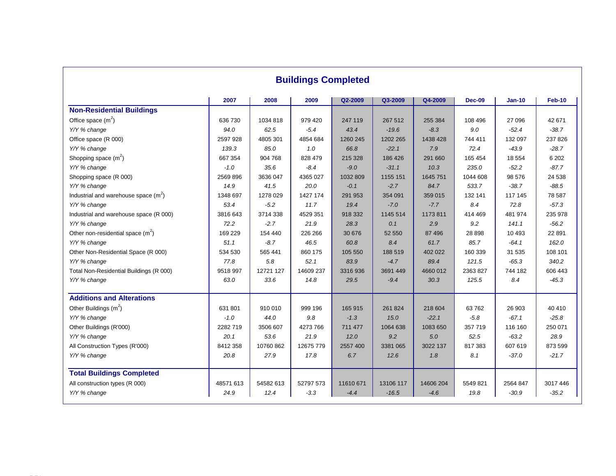|                                         | 2007      | 2008      | 2009      | Q2-2009   | Q3-2009   | Q4-2009   | <b>Dec-09</b> | $Jan-10$ |          |
|-----------------------------------------|-----------|-----------|-----------|-----------|-----------|-----------|---------------|----------|----------|
| <b>Non-Residential Buildings</b>        |           |           |           |           |           |           |               |          |          |
| Office space $(m2)$                     | 636 730   | 1034 818  | 979 420   | 247 119   | 267 512   | 255 384   | 108 496       | 27 096   |          |
| Y/Y % change                            | 94.0      | 62.5      | $-5.4$    | 43.4      | $-19.6$   | $-8.3$    | 9.0           | $-52.4$  |          |
| Office space (R 000)                    | 2597 928  | 4805 301  | 4854 684  | 1260 245  | 1202 265  | 1438 428  | 744 411       | 132 097  |          |
| Y/Y % change                            | 139.3     | 85.0      | 1.0       | 66.8      | $-22.1$   | 7.9       | 72.4          | $-43.9$  |          |
| Shopping space $(m^2)$                  | 667 354   | 904 768   | 828 479   | 215 328   | 186 426   | 291 660   | 165 454       | 18 5 54  |          |
| Y/Y % change                            | $-1.0$    | 35.6      | $-8.4$    | $-9.0$    | $-31.1$   | 10.3      | 235.0         | $-52.2$  |          |
| Shopping space (R 000)                  | 2569 896  | 3636 047  | 4365 027  | 1032 809  | 1155 151  | 1645 751  | 1044 608      | 98 576   |          |
| Y/Y % change                            | 14.9      | 41.5      | 20.0      | $-0.1$    | $-2.7$    | 84.7      | 533.7         | $-38.7$  |          |
| Industrial and warehouse space $(m^2)$  | 1348 697  | 1278 029  | 1427 174  | 291 953   | 354 091   | 359 015   | 132 141       | 117 145  |          |
| Y/Y % change                            | 53.4      | $-5.2$    | 11.7      | 19.4      | $-7.0$    | $-7.7$    | 8.4           | 72.8     |          |
| Industrial and warehouse space (R 000)  | 3816 643  | 3714 338  | 4529 351  | 918 332   | 1145 514  | 1173811   | 414 469       | 481 974  |          |
| Y/Y % change                            | 72.2      | $-2.7$    | 21.9      | 28.3      | 0.1       | 2.9       | 9.2           | 141.1    |          |
| Other non-residential space $(m^2)$     | 169 229   | 154 440   | 226 266   | 30 676    | 52 550    | 87 496    | 28 8 98       | 10 4 93  |          |
| Y/Y % change                            | 51.1      | $-8.7$    | 46.5      | 60.8      | 8.4       | 61.7      | 85.7          | $-64.1$  |          |
| Other Non-Residential Space (R 000)     | 534 530   | 565 441   | 860 175   | 105 550   | 188 519   | 402 022   | 160 339       | 31 535   | 108 101  |
| Y/Y % change                            | 77.8      | 5.8       | 52.1      | 83.9      | $-4.7$    | 89.4      | 121.5         | $-65.3$  |          |
| Total Non-Residential Buildings (R 000) | 9518 997  | 12721 127 | 14609 237 | 3316936   | 3691 449  | 4660 012  | 2363 827      | 744 182  | 606 443  |
| Y/Y % change                            | 63.0      | 33.6      | 14.8      | 29.5      | $-9.4$    | 30.3      | 125.5         | 8.4      |          |
| <b>Additions and Alterations</b>        |           |           |           |           |           |           |               |          |          |
| Other Buildings $(m2)$                  | 631 801   | 910 010   | 999 196   | 165 915   | 261 824   | 218 604   | 63762         | 26 903   |          |
| Y/Y % change                            | $-1.0$    | 44.0      | 9.8       | $-1.3$    | 15.0      | $-22.1$   | $-5.8$        | $-67.1$  |          |
| Other Buildings (R'000)                 | 2282719   | 3506 607  | 4273 766  | 711 477   | 1064 638  | 1083 650  | 357 719       | 116 160  | 250 071  |
| Y/Y % change                            | 20.1      | 53.6      | 21.9      | 12.0      | 9.2       | 5.0       | 52.5          | $-63.2$  |          |
| All Construction Types (R'000)          | 8412 358  | 10760 862 | 12675 779 | 2557 400  | 3381 065  | 3022 137  | 817 383       | 607 619  | 873 599  |
| Y/Y % change                            | 20.8      | 27.9      | 17.8      | 6.7       | 12.6      | 1.8       | 8.1           | $-37.0$  |          |
| <b>Total Buildings Completed</b>        |           |           |           |           |           |           |               |          |          |
| All construction types (R 000)          | 48571 613 | 54582 613 | 52797 573 | 11610 671 | 13106 117 | 14606 204 | 5549 821      | 2564 847 | 3017 446 |
| Y/Y % change                            | 24.9      | 12.4      | $-3.3$    | $-4.4$    | $-16.5$   | $-4.6$    | 19.8          | $-30.9$  |          |